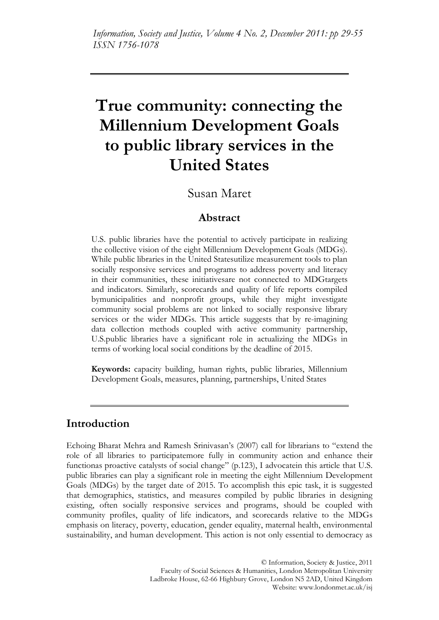# **True community: connecting the Millennium Development Goals to public library services in the United States**

# Susan Maret

# **Abstract**

U.S. public libraries have the potential to actively participate in realizing the collective vision of the eight Millennium Development Goals (MDGs). While public libraries in the United Statesutilize measurement tools to plan socially responsive services and programs to address poverty and literacy in their communities, these initiativesare not connected to MDGtargets and indicators. Similarly, scorecards and quality of life reports compiled bymunicipalities and nonprofit groups, while they might investigate community social problems are not linked to socially responsive library services or the wider MDGs. This article suggests that by re-imagining data collection methods coupled with active community partnership, U.S.public libraries have a significant role in actualizing the MDGs in terms of working local social conditions by the deadline of 2015.

**Keywords:** capacity building, human rights, public libraries, Millennium Development Goals, measures, planning, partnerships, United States

# **Introduction**

Echoing Bharat Mehra and Ramesh Srinivasan's (2007) call for librarians to "extend the role of all libraries to participatemore fully in community action and enhance their functionas proactive catalysts of social change" (p.123), I advocatein this article that U.S. public libraries can play a significant role in meeting the eight Millennium Development Goals (MDGs) by the target date of 2015. To accomplish this epic task, it is suggested that demographics, statistics, and measures compiled by public libraries in designing existing, often socially responsive services and programs, should be coupled with community profiles, quality of life indicators, and scorecards relative to the MDGs emphasis on literacy, poverty, education, gender equality, maternal health, environmental sustainability, and human development. This action is not only essential to democracy as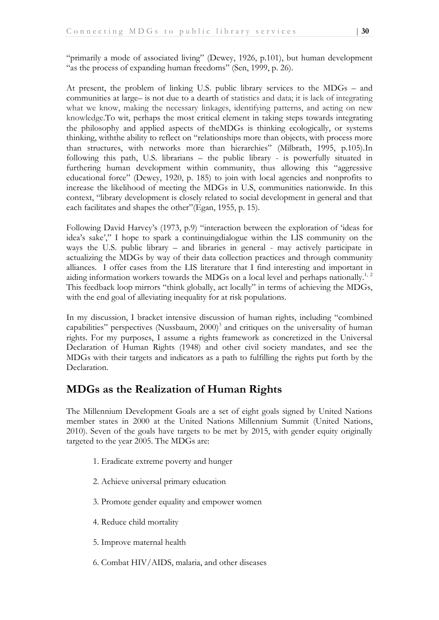"primarily a mode of associated living" (Dewey, 1926, p.101), but human development "as the process of expanding human freedoms" (Sen, 1999, p. 26).

At present, the problem of linking U.S. public library services to the MDGs – and communities at large– is not due to a dearth of statistics and data; it is lack of integrating what we know, making the necessary linkages, identifying patterns, and acting on new knowledge.To wit, perhaps the most critical element in taking steps towards integrating the philosophy and applied aspects of theMDGs is thinking ecologically, or systems thinking, withthe ability to reflect on "relationships more than objects, with process more than structures, with networks more than hierarchies" (Milbrath, 1995, p.105).In following this path, U.S. librarians – the public library - is powerfully situated in furthering human development within community, thus allowing this "aggressive educational force" (Dewey, 1920, p. 185) to join with local agencies and nonprofits to increase the likelihood of meeting the MDGs in U.S, communities nationwide. In this context, "library development is closely related to social development in general and that each facilitates and shapes the other" (Egan, 1955, p. 15).

Following David Harvey's (1973, p.9) "interaction between the exploration of 'ideas for idea's sake',‖ I hope to spark a continuingdialogue within the LIS community on the ways the U.S. public library – and libraries in general - may actively participate in actualizing the MDGs by way of their data collection practices and through community alliances. I offer cases from the LIS literature that I find interesting and important in aiding information workers towards the MDGs on a local level and perhaps nationally.<sup>1, 2</sup> This feedback loop mirrors "think globally, act locally" in terms of achieving the MDGs, with the end goal of alleviating inequality for at risk populations.

In my discussion, I bracket intensive discussion of human rights, including "combined capabilities" perspectives (Nussbaum,  $2000$ )<sup>3</sup> and critiques on the universality of human rights. For my purposes, I assume a rights framework as concretized in the Universal Declaration of Human Rights (1948) and other civil society mandates, and see the MDGs with their targets and indicators as a path to fulfilling the rights put forth by the Declaration.

# **MDGs as the Realization of Human Rights**

The Millennium Development Goals are a set of eight goals signed by United Nations member states in 2000 at the United Nations Millennium Summit (United Nations, 2010). Seven of the goals have targets to be met by 2015, with gender equity originally targeted to the year 2005. The MDGs are:

- 1. Eradicate extreme poverty and hunger
- 2. Achieve universal primary education
- 3. Promote gender equality and empower women
- 4. Reduce child mortality
- 5. Improve maternal health
- 6. Combat HIV/AIDS, malaria, and other diseases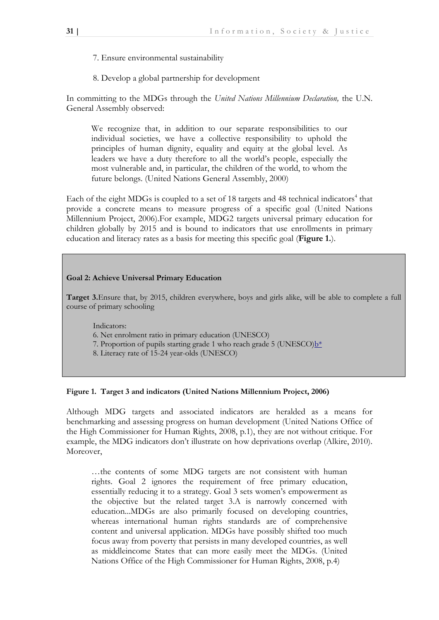- 7. Ensure environmental sustainability
- 8. Develop a global partnership for development

In committing to the MDGs through the *United Nations Millennium Declaration,* the U.N. General Assembly observed:

We recognize that, in addition to our separate responsibilities to our individual societies, we have a collective responsibility to uphold the principles of human dignity, equality and equity at the global level. As leaders we have a duty therefore to all the world's people, especially the most vulnerable and, in particular, the children of the world, to whom the future belongs. (United Nations General Assembly, 2000)

Each of the eight MDGs is coupled to a set of 18 targets and 48 technical indicators<sup>4</sup> that provide a concrete means to measure progress of a specific goal (United Nations Millennium Project, 2006).For example, MDG2 targets universal primary education for children globally by 2015 and is bound to indicators that use enrollments in primary education and literacy rates as a basis for meeting this specific goal (**Figure 1.**).

#### **Goal 2: Achieve Universal Primary Education**

**Target 3.**Ensure that, by 2015, children everywhere, boys and girls alike, will be able to complete a full course of primary schooling

Indicators:

6. Net enrolment ratio in primary education (UNESCO)

- 7. Proportion of pupils starting grade 1 who reach grade 5 (UNESCO) $b^*$
- 8. Literacy rate of 15-24 year-olds (UNESCO)

#### **Figure 1. Target 3 and indicators (United Nations Millennium Project, 2006)**

Although MDG targets and associated indicators are heralded as a means for benchmarking and assessing progress on human development (United Nations Office of the High Commissioner for Human Rights, 2008, p.1), they are not without critique. For example, the MDG indicators don't illustrate on how deprivations overlap (Alkire, 2010). Moreover,

…the contents of some MDG targets are not consistent with human rights. Goal 2 ignores the requirement of free primary education, essentially reducing it to a strategy. Goal 3 sets women's empowerment as the objective but the related target 3.A is narrowly concerned with education...MDGs are also primarily focused on developing countries, whereas international human rights standards are of comprehensive content and universal application. MDGs have possibly shifted too much focus away from poverty that persists in many developed countries, as well as middleincome States that can more easily meet the MDGs. (United Nations Office of the High Commissioner for Human Rights, 2008, p.4)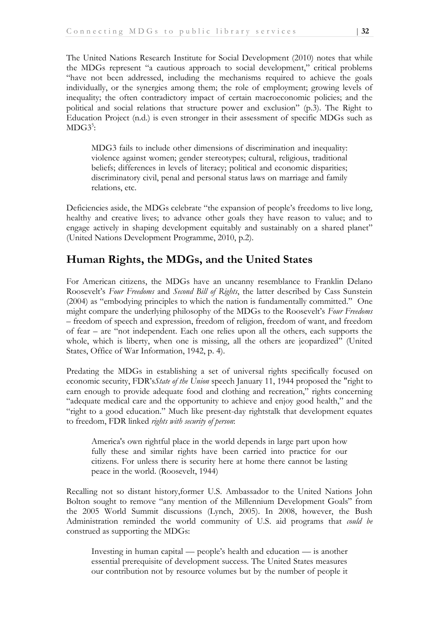The United Nations Research Institute for Social Development (2010) notes that while the MDGs represent "a cautious approach to social development," critical problems "have not been addressed, including the mechanisms required to achieve the goals individually, or the synergies among them; the role of employment; growing levels of inequality; the often contradictory impact of certain macroeconomic policies; and the political and social relations that structure power and exclusion" (p.3). The Right to Education Project (n.d.) is even stronger in their assessment of specific MDGs such as  $MDG3<sup>5</sup>$ :

MDG3 fails to include other dimensions of discrimination and inequality: violence against women; gender stereotypes; cultural, religious, traditional beliefs; differences in levels of literacy; political and economic disparities; discriminatory civil, penal and personal status laws on marriage and family relations, etc.

Deficiencies aside, the MDGs celebrate "the expansion of people's freedoms to live long, healthy and creative lives; to advance other goals they have reason to value; and to engage actively in shaping development equitably and sustainably on a shared planet" (United Nations Development Programme, 2010, p.2).

# **Human Rights, the MDGs, and the United States**

For American citizens, the MDGs have an uncanny resemblance to Franklin Delano Roosevelt's *Four Freedoms* and *Second Bill of Rights*, the latter described by Cass Sunstein (2004) as "embodying principles to which the nation is fundamentally committed." One might compare the underlying philosophy of the MDGs to the Roosevelt's *Four Freedoms* – freedom of speech and expression, freedom of religion, freedom of want, and freedom of fear – are "not independent. Each one relies upon all the others, each supports the whole, which is liberty, when one is missing, all the others are jeopardized" (United States, Office of War Information, 1942, p. 4).

Predating the MDGs in establishing a set of universal rights specifically focused on economic security, FDR's*State of the Union* speech January 11, 1944 proposed the "right to earn enough to provide adequate food and clothing and recreation," rights concerning "adequate medical care and the opportunity to achieve and enjoy good health," and the "right to a good education." Much like present-day rightstalk that development equates to freedom, FDR linked *rights with security of person*:

America's own rightful place in the world depends in large part upon how fully these and similar rights have been carried into practice for our citizens. For unless there is security here at home there cannot be lasting peace in the world. (Roosevelt, 1944)

Recalling not so distant history,former U.S. Ambassador to the United Nations John Bolton sought to remove "any mention of the Millennium Development Goals" from the 2005 World Summit discussions (Lynch, 2005). In 2008, however, the Bush Administration reminded the world community of U.S. aid programs that *could be* construed as supporting the MDGs:

Investing in human capital — people's health and education — is another essential prerequisite of development success. The United States measures our contribution not by resource volumes but by the number of people it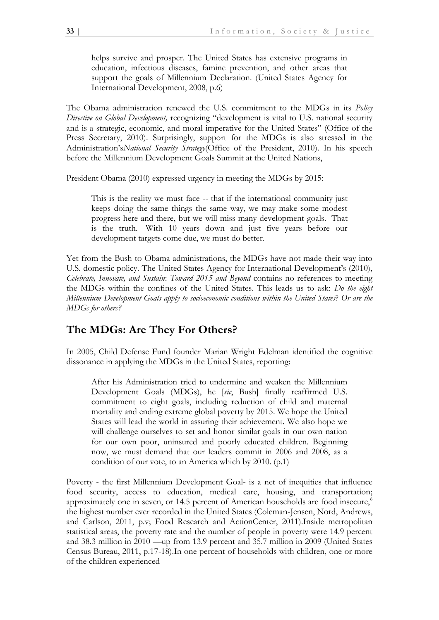helps survive and prosper. The United States has extensive programs in education, infectious diseases, famine prevention, and other areas that support the goals of Millennium Declaration. (United States Agency for International Development, 2008, p.6)

The Obama administration renewed the U.S. commitment to the MDGs in its *Policy Directive on Global Development,* recognizing "development is vital to U.S. national security and is a strategic, economic, and moral imperative for the United States" (Office of the Press Secretary, 2010). Surprisingly, support for the MDGs is also stressed in the Administration's*National Security Strategy*(Office of the President, 2010). In his speech before the Millennium Development Goals Summit at the United Nations,

President Obama (2010) expressed urgency in meeting the MDGs by 2015:

This is the reality we must face -- that if the international community just keeps doing the same things the same way, we may make some modest progress here and there, but we will miss many development goals. That is the truth. With 10 years down and just five years before our development targets come due, we must do better.

Yet from the Bush to Obama administrations, the MDGs have not made their way into U.S. domestic policy. The United States Agency for International Development's (2010), *Celebrate, Innovate, and Sustain*: *Toward 2015 and Beyond* contains no references to meeting the MDGs within the confines of the United States. This leads us to ask: *Do the eight Millennium Development Goals apply to socioeconomic conditions within the United States*? *Or are the MDGs for others?*

# **The MDGs: Are They For Others?**

In 2005, Child Defense Fund founder Marian Wright Edelman identified the cognitive dissonance in applying the MDGs in the United States, reporting:

After his Administration tried to undermine and weaken the Millennium Development Goals (MDGs), he [*sic*, Bush] finally reaffirmed U.S. commitment to eight goals, including reduction of child and maternal mortality and ending extreme global poverty by 2015. We hope the United States will lead the world in assuring their achievement. We also hope we will challenge ourselves to set and honor similar goals in our own nation for our own poor, uninsured and poorly educated children. Beginning now, we must demand that our leaders commit in 2006 and 2008, as a condition of our vote, to an America which by 2010. (p.1)

Poverty - the first Millennium Development Goal- is a net of inequities that influence food security, access to education, medical care, housing, and transportation; approximately one in seven, or 14.5 percent of American households are food insecure,<sup>6</sup> the highest number ever recorded in the United States (Coleman-Jensen, Nord, Andrews, and Carlson, 2011, p.v; Food Research and ActionCenter, 2011).Inside metropolitan statistical areas, the poverty rate and the number of people in poverty were 14.9 percent and 38.3 million in 2010 —up from 13.9 percent and 35.7 million in 2009 (United States Census Bureau, 2011, p.17-18).In one percent of households with children, one or more of the children experienced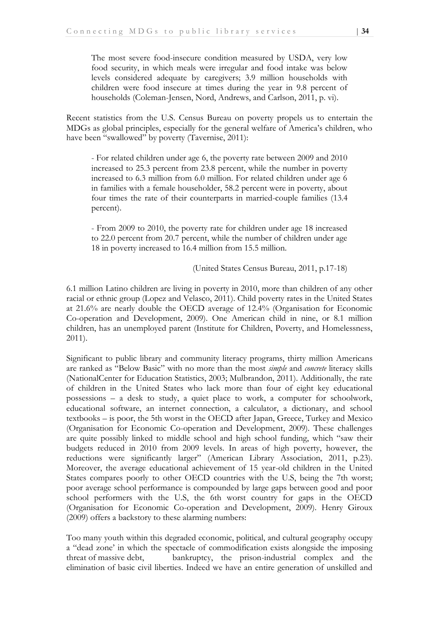The most severe food-insecure condition measured by USDA, very low food security, in which meals were irregular and food intake was below levels considered adequate by caregivers; 3.9 million households with children were food insecure at times during the year in 9.8 percent of households (Coleman-Jensen, Nord, Andrews, and Carlson, 2011, p. vi).

Recent statistics from the U.S. Census Bureau on poverty propels us to entertain the MDGs as global principles, especially for the general welfare of America's children, who have been "swallowed" by poverty (Tavernise, 2011):

- For related children under age 6, the poverty rate between 2009 and 2010 increased to 25.3 percent from 23.8 percent, while the number in poverty increased to 6.3 million from 6.0 million. For related children under age 6 in families with a female householder, 58.2 percent were in poverty, about four times the rate of their counterparts in married-couple families (13.4 percent).

- From 2009 to 2010, the poverty rate for children under age 18 increased to 22.0 percent from 20.7 percent, while the number of children under age 18 in poverty increased to 16.4 million from 15.5 million.

(United States Census Bureau, 2011, p.17-18)

6.1 million Latino children are living in poverty in 2010, more than children of any other racial or ethnic group (Lopez and Velasco, 2011). Child poverty rates in the United States at 21.6% are nearly double the OECD average of 12.4% (Organisation for Economic Co-operation and Development, 2009). One American child in nine, or 8.1 million children, has an unemployed parent (Institute for Children, Poverty, and Homelessness, 2011).

Significant to public library and community literacy programs, thirty million Americans are ranked as "Below Basic" with no more than the most *simple* and *concrete* literacy skills (NationalCenter for Education Statistics, 2003; Mulbrandon, 2011). Additionally, the rate of children in the United States who lack more than four of eight key educational possessions – a desk to study, a quiet place to work, a computer for schoolwork, educational software, an internet connection, a calculator, a dictionary, and school textbooks – is poor, the 5th worst in the OECD after Japan, Greece, Turkey and Mexico (Organisation for Economic Co-operation and Development, 2009). These challenges are quite possibly linked to middle school and high school funding, which "saw their budgets reduced in 2010 from 2009 levels. In areas of high poverty, however, the reductions were significantly larger" (American Library Association, 2011, p.23). Moreover, the average educational achievement of 15 year-old children in the United States compares poorly to other OECD countries with the U.S, being the 7th worst; poor average school performance is compounded by large gaps between good and poor school performers with the U.S, the 6th worst country for gaps in the OECD (Organisation for Economic Co-operation and Development, 2009). Henry Giroux (2009) offers a backstory to these alarming numbers:

Too many youth within this degraded economic, political, and cultural geography occupy a "dead zone' in which the spectacle of commodification exists alongside the imposing threat of massive debt, bankruptcy, the prison-industrial complex and the elimination of basic civil liberties. Indeed we have an entire generation of unskilled and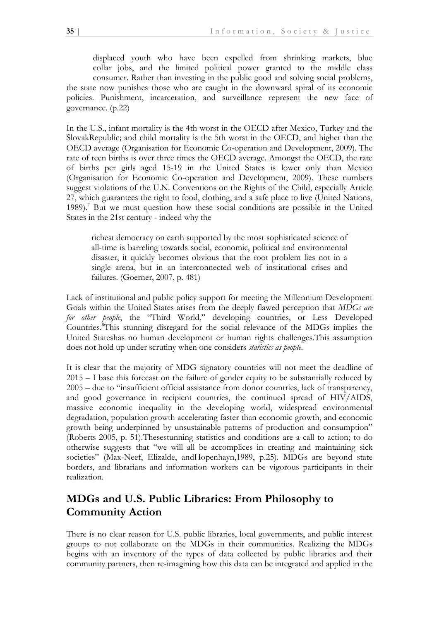displaced youth who have been expelled from shrinking markets, blue collar jobs, and the limited political power granted to the middle class consumer. Rather than investing in the public good and solving social problems, the state now punishes those who are caught in the downward spiral of its economic policies. Punishment, incarceration, and surveillance represent the new face of governance. (p.22)

In the U.S., infant mortality is the 4th worst in the OECD after Mexico, Turkey and the SlovakRepublic; and child mortality is the 5th worst in the OECD, and higher than the OECD average (Organisation for Economic Co-operation and Development, 2009). The rate of teen births is over three times the OECD average. Amongst the OECD, the rate of births per girls aged 15-19 in the United States is lower only than Mexico (Organisation for Economic Co-operation and Development, 2009). These numbers suggest violations of the U.N. Conventions on the Rights of the Child, especially Article 27, which guarantees the right to food, clothing, and a safe place to live (United Nations, 1989).<sup>7</sup> But we must question how these social conditions are possible in the United States in the 21st century - indeed why the

richest democracy on earth supported by the most sophisticated science of all-time is barreling towards social, economic, political and environmental disaster, it quickly becomes obvious that the root problem lies not in a single arena, but in an interconnected web of institutional crises and failures. (Goerner, 2007, p. 481)

Lack of institutional and public policy support for meeting the Millennium Development Goals within the United States arises from the deeply flawed perception that *MDGs are for other people*, the "Third World," developing countries, or Less Developed Countries.<sup>8</sup>This stunning disregard for the social relevance of the MDGs implies the United Stateshas no human development or human rights challenges.This assumption does not hold up under scrutiny when one considers *statistics as people*.

It is clear that the majority of MDG signatory countries will not meet the deadline of 2015 – I base this forecast on the failure of gender equity to be substantially reduced by 2005 – due to "insufficient official assistance from donor countries, lack of transparency, and good governance in recipient countries, the continued spread of HIV/AIDS, massive economic inequality in the developing world, widespread environmental degradation, population growth accelerating faster than economic growth, and economic growth being underpinned by unsustainable patterns of production and consumption" (Roberts 2005, p. 51).Thesestunning statistics and conditions are a call to action; to do otherwise suggests that "we will all be accomplices in creating and maintaining sick societies" (Max-Neef, Elizalde, andHopenhayn,1989, p.25). MDGs are beyond state borders, and librarians and information workers can be vigorous participants in their realization.

# **MDGs and U.S. Public Libraries: From Philosophy to Community Action**

There is no clear reason for U.S. public libraries, local governments, and public interest groups to not collaborate on the MDGs in their communities. Realizing the MDGs begins with an inventory of the types of data collected by public libraries and their community partners, then re-imagining how this data can be integrated and applied in the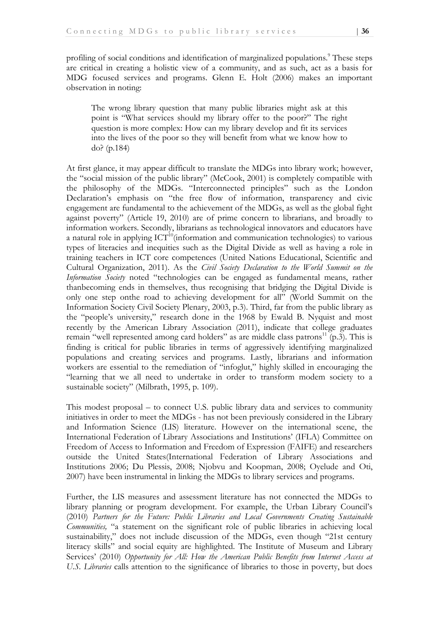profiling of social conditions and identification of marginalized populations.<sup>9</sup> These steps are critical in creating a holistic view of a community, and as such, act as a basis for MDG focused services and programs. Glenn E. Holt (2006) makes an important observation in noting:

The wrong library question that many public libraries might ask at this point is "What services should my library offer to the poor?" The right question is more complex: How can my library develop and fit its services into the lives of the poor so they will benefit from what we know how to do? (p.184)

At first glance, it may appear difficult to translate the MDGs into library work; however, the "social mission of the public library" (McCook, 2001) is completely compatible with the philosophy of the MDGs. "Interconnected principles" such as the London Declaration's emphasis on "the free flow of information, transparency and civic engagement are fundamental to the achievement of the MDGs, as well as the global fight against poverty" (Article 19, 2010) are of prime concern to librarians, and broadly to information workers. Secondly, librarians as technological innovators and educators have a natural role in applying  $\text{ICT}^{10}$ (information and communication technologies) to various types of literacies and inequities such as the Digital Divide as well as having a role in training teachers in ICT core competences (United Nations Educational, Scientific and Cultural Organization, 2011). As the *Civil Society Declaration to the World Summit on the Information Society* noted "technologies can be engaged as fundamental means, rather thanbecoming ends in themselves, thus recognising that bridging the Digital Divide is only one step onthe road to achieving development for all" (World Summit on the Information Society Civil Society Plenary, 2003, p.3). Third, far from the public library as the "people's university," research done in the 1968 by Ewald B. Nyquist and most recently by the American Library Association (2011), indicate that college graduates remain "well represented among card holders" as are middle class patrons<sup>11</sup> (p.3). This is finding is critical for public libraries in terms of aggressively identifying marginalized populations and creating services and programs. Lastly, librarians and information workers are essential to the remediation of "infoglut," highly skilled in encouraging the "learning that we all need to undertake in order to transform modem society to a sustainable society" (Milbrath, 1995, p. 109).

This modest proposal – to connect U.S. public library data and services to community initiatives in order to meet the MDGs - has not been previously considered in the Library and Information Science (LIS) literature. However on the international scene, the International Federation of Library Associations and Institutions' (IFLA) Committee on Freedom of Access to Information and Freedom of Expression (FAIFE) and researchers outside the United States(International Federation of Library Associations and Institutions 2006; Du Plessis, 2008; Njobvu and Koopman, 2008; Oyelude and Oti, 2007) have been instrumental in linking the MDGs to library services and programs.

Further, the LIS measures and assessment literature has not connected the MDGs to library planning or program development. For example, the Urban Library Council's (2010) *Partners for the Future: Public Libraries and Local Governments Creating Sustainable Communities,* "a statement on the significant role of public libraries in achieving local sustainability," does not include discussion of the MDGs, even though "21st century literacy skills" and social equity are highlighted. The Institute of Museum and Library Services' (2010) *Opportunity for All: How the American Public Benefits from Internet Access at U.S. Libraries* calls attention to the significance of libraries to those in poverty, but does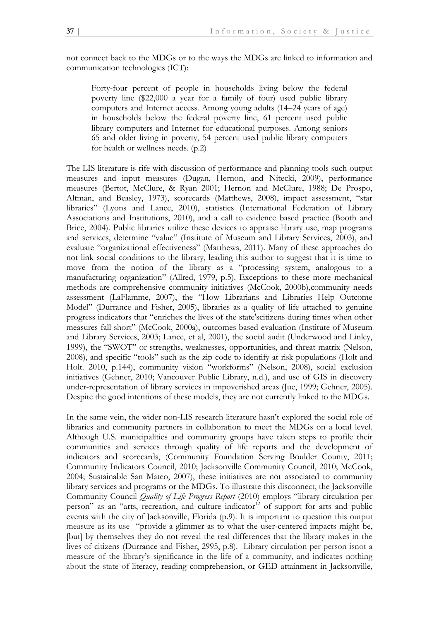not connect back to the MDGs or to the ways the MDGs are linked to information and communication technologies (ICT):

Forty-four percent of people in households living below the federal poverty line (\$22,000 a year for a family of four) used public library computers and Internet access. Among young adults (14–24 years of age) in households below the federal poverty line, 61 percent used public library computers and Internet for educational purposes. Among seniors 65 and older living in poverty, 54 percent used public library computers for health or wellness needs. (p.2)

The LIS literature is rife with discussion of performance and planning tools such output measures and input measures (Dugan, Hernon, and Nitecki, 2009), performance measures (Bertot, McClure, & Ryan 2001; Hernon and McClure, 1988; De Prospo, Altman, and Beasley, 1973), scorecards (Matthews, 2008), impact assessment, "star libraries" (Lyons and Lance, 2010), statistics (International Federation of Library Associations and Institutions, 2010), and a call to evidence based practice (Booth and Brice, 2004). Public libraries utilize these devices to appraise library use, map programs and services, determine "value" (Institute of Museum and Library Services, 2003), and evaluate "organizational effectiveness" (Matthews, 2011). Many of these approaches do not link social conditions to the library, leading this author to suggest that it is time to move from the notion of the library as a "processing system, analogous to a manufacturing organization" (Allred, 1979, p.5). Exceptions to these more mechanical methods are comprehensive community initiatives (McCook, 2000b),community needs assessment (LaFlamme, 2007), the "How Librarians and Libraries Help Outcome Model" (Durrance and Fisher, 2005), libraries as a quality of life attached to genuine progress indicators that "enriches the lives of the state'scitizens during times when other measures fall short" (McCook, 2000a), outcomes based evaluation (Institute of Museum and Library Services, 2003; Lance, et al, 2001), the social audit (Underwood and Linley, 1999), the "SWOT" or strengths, weaknesses, opportunities, and threat matrix (Nelson, 2008), and specific "tools" such as the zip code to identify at risk populations (Holt and Holt. 2010, p.144), community vision "workforms" (Nelson, 2008), social exclusion initiatives (Gehner, 2010; Vancouver Public Library, n.d.), and use of GIS in discovery under-representation of library services in impoverished areas (Jue, 1999; Gehner, 2005). Despite the good intentions of these models, they are not currently linked to the MDGs.

In the same vein, the wider non-LIS research literature hasn't explored the social role of libraries and community partners in collaboration to meet the MDGs on a local level. Although U.S. municipalities and community groups have taken steps to profile their communities and services through quality of life reports and the development of indicators and scorecards, (Community Foundation Serving Boulder County, 2011; Community Indicators Council, 2010; Jacksonville Community Council, 2010; McCook, 2004; Sustainable San Mateo, 2007), these initiatives are not associated to community library services and programs or the MDGs. To illustrate this disconnect, the Jacksonville Community Council *Quality of Life Progress Report* (2010) employs "library circulation per person" as an "arts, recreation, and culture indicator<sup>12</sup> of support for arts and public events with the city of Jacksonville, Florida (p.9). It is important to question this output measure as its use "provide a glimmer as to what the user-centered impacts might be, [but] by themselves they do not reveal the real differences that the library makes in the lives of citizens (Durrance and Fisher, 2995, p.8). Library circulation per person isnot a measure of the library's significance in the life of a community, and indicates nothing about the state of literacy, reading comprehension, or GED attainment in Jacksonville,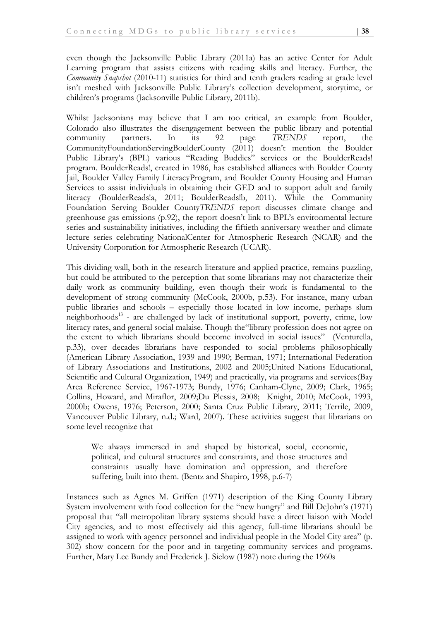even though the Jacksonville Public Library (2011a) has an active Center for Adult Learning program that assists citizens with reading skills and literacy. Further, the *Community Snapshot* (2010-11) statistics for third and tenth graders reading at grade level isn't meshed with Jacksonville Public Library's collection development, storytime, or children's programs (Jacksonville Public Library, 2011b).

Whilst Jacksonians may believe that I am too critical, an example from Boulder, Colorado also illustrates the disengagement between the public library and potential community partners. In its 92 page *TRENDS* report, the CommunityFoundationServingBoulderCounty (2011) doesn't mention the Boulder Public Library's (BPL) various "Reading Buddies" services or the BoulderReads! program. BoulderReads!, created in 1986, has established alliances with Boulder County Jail, Boulder Valley Family LiteracyProgram, and Boulder County Housing and Human Services to assist individuals in obtaining their GED and to support adult and family literacy (BoulderReads!a, 2011; BoulderReads!b, 2011). While the Community Foundation Serving Boulder County*TRENDS* report discusses climate change and greenhouse gas emissions (p.92), the report doesn't link to BPL's environmental lecture series and sustainability initiatives, including the fiftieth anniversary weather and climate lecture series celebrating NationalCenter for Atmospheric Research (NCAR) and the University Corporation for Atmospheric Research (UCAR).

This dividing wall, both in the research literature and applied practice, remains puzzling, but could be attributed to the perception that some librarians may not characterize their daily work as community building, even though their work is fundamental to the development of strong community (McCook, 2000b, p.53). For instance, many urban public libraries and schools – especially those located in low income, perhaps slum neighborhoods<sup>13</sup> - are challenged by lack of institutional support, poverty, crime, low literacy rates, and general social malaise. Though the "library profession does not agree on the extent to which librarians should become involved in social issues" (Venturella, p.33), over decades librarians have responded to social problems philosophically (American Library Association, 1939 and 1990; Berman, 1971; International Federation of Library Associations and Institutions, 2002 and 2005;United Nations Educational, Scientific and Cultural Organization, 1949) and practically, via programs and services(Bay Area Reference Service, 1967-1973; Bundy, 1976; Canham-Clyne, 2009; Clark, 1965; Collins, Howard, and Miraflor, 2009;Du Plessis, 2008; Knight, 2010; McCook, 1993, 2000b; Owens, 1976; Peterson, 2000; Santa Cruz Public Library, 2011; Terrile, 2009, Vancouver Public Library, n.d.; Ward, 2007). These activities suggest that librarians on some level recognize that

We always immersed in and shaped by historical, social, economic, political, and cultural structures and constraints, and those structures and constraints usually have domination and oppression, and therefore suffering, built into them. (Bentz and Shapiro, 1998, p.6-7)

Instances such as Agnes M. Griffen (1971) description of the King County Library System involvement with food collection for the "new hungry" and Bill DeJohn's (1971) proposal that "all metropolitan library systems should have a direct liaison with Model City agencies, and to most effectively aid this agency, full-time librarians should be assigned to work with agency personnel and individual people in the Model City area" (p. 302) show concern for the poor and in targeting community services and programs. Further, Mary Lee Bundy and Frederick J. Sielow (1987) note during the 1960s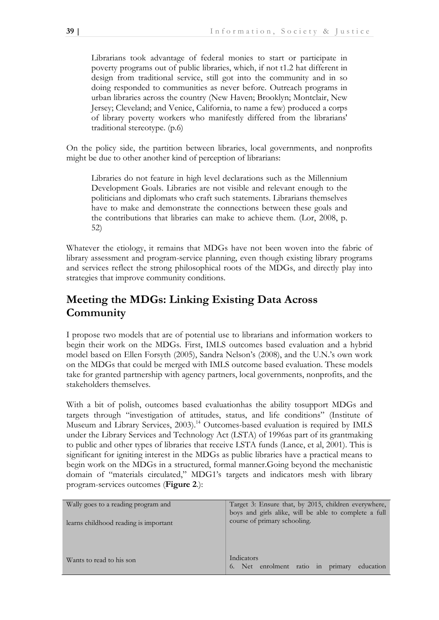Librarians took advantage of federal monies to start or participate in poverty programs out of public libraries, which, if not t1.2 hat different in design from traditional service, still got into the community and in so doing responded to communities as never before. Outreach programs in urban libraries across the country (New Haven; Brooklyn; Montclair, New Jersey; Cleveland; and Venice, California, to name a few) produced a corps of library poverty workers who manifestly differed from the librarians' traditional stereotype. (p.6)

On the policy side, the partition between libraries, local governments, and nonprofits might be due to other another kind of perception of librarians:

Libraries do not feature in high level declarations such as the Millennium Development Goals. Libraries are not visible and relevant enough to the politicians and diplomats who craft such statements. Librarians themselves have to make and demonstrate the connections between these goals and the contributions that libraries can make to achieve them. (Lor, 2008, p. 52)

Whatever the etiology, it remains that MDGs have not been woven into the fabric of library assessment and program-service planning, even though existing library programs and services reflect the strong philosophical roots of the MDGs, and directly play into strategies that improve community conditions.

# **Meeting the MDGs: Linking Existing Data Across Community**

I propose two models that are of potential use to librarians and information workers to begin their work on the MDGs. First, IMLS outcomes based evaluation and a hybrid model based on Ellen Forsyth (2005), Sandra Nelson's (2008), and the U.N.'s own work on the MDGs that could be merged with IMLS outcome based evaluation. These models take for granted partnership with agency partners, local governments, nonprofits, and the stakeholders themselves.

With a bit of polish, outcomes based evaluationhas the ability tosupport MDGs and targets through "investigation of attitudes, status, and life conditions" (Institute of Museum and Library Services, 2003).<sup>14</sup> Outcomes-based evaluation is required by IMLS under the Library Services and Technology Act (LSTA) of 1996as part of its grantmaking to public and other types of libraries that receive LSTA funds (Lance, et al, 2001). This is significant for igniting interest in the MDGs as public libraries have a practical means to begin work on the MDGs in a structured, formal manner.Going beyond the mechanistic domain of "materials circulated," MDG1's targets and indicators mesh with library program-services outcomes (**Figure 2**.):

| Wally goes to a reading program and<br>learns childhood reading is important | Target 3: Ensure that, by 2015, children everywhere,<br>boys and girls alike, will be able to complete a full<br>course of primary schooling. |  |  |
|------------------------------------------------------------------------------|-----------------------------------------------------------------------------------------------------------------------------------------------|--|--|
| Wants to read to his son                                                     | Indicators<br>Net enrolment ratio in primary<br>education<br>6.                                                                               |  |  |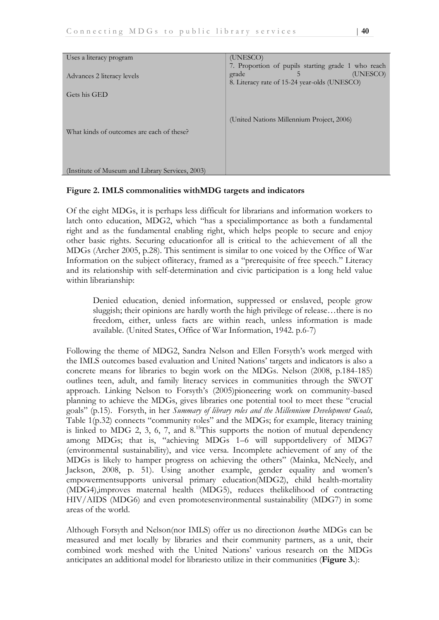| Uses a literacy program                          | (UNESCO)                                                                                                                                 |
|--------------------------------------------------|------------------------------------------------------------------------------------------------------------------------------------------|
| Advances 2 literacy levels                       | 7. Proportion of pupils starting grade 1 who reach<br>(UNESCO)<br>grade<br>$\mathcal{L}$<br>8. Literacy rate of 15-24 year-olds (UNESCO) |
| Gets his GED                                     |                                                                                                                                          |
| What kinds of outcomes are each of these?        | (United Nations Millennium Project, 2006)                                                                                                |
| (Institute of Museum and Library Services, 2003) |                                                                                                                                          |

### **Figure 2. IMLS commonalities withMDG targets and indicators**

Of the eight MDGs, it is perhaps less difficult for librarians and information workers to latch onto education, MDG2, which "has a specialimportance as both a fundamental right and as the fundamental enabling right, which helps people to secure and enjoy other basic rights. Securing educationfor all is critical to the achievement of all the MDGs (Archer 2005, p.28). This sentiment is similar to one voiced by the Office of War Information on the subject ofliteracy, framed as a "prerequisite of free speech." Literacy and its relationship with self-determination and civic participation is a long held value within librarianship:

Denied education, denied information, suppressed or enslaved, people grow sluggish; their opinions are hardly worth the high privilege of release…there is no freedom, either, unless facts are within reach, unless information is made available. (United States, Office of War Information, 1942. p.6-7)

Following the theme of MDG2, Sandra Nelson and Ellen Forsyth's work merged with the IMLS outcomes based evaluation and United Nations' targets and indicators is also a concrete means for libraries to begin work on the MDGs. Nelson (2008, p.184-185) outlines teen, adult, and family literacy services in communities through the SWOT approach. Linking Nelson to Forsyth's (2005)pioneering work on community-based planning to achieve the MDGs, gives libraries one potential tool to meet these "crucial goals" (p.15). Forsyth, in her *Summary of library roles and the Millennium Development Goals*, Table 1(p.32) connects "community roles" and the MDGs; for example, literacy training is linked to MDG 2, 3, 6, 7, and  $8<sup>15</sup>$ This supports the notion of mutual dependency among MDGs; that is, "achieving MDGs 1–6 will supportdelivery of MDG7 (environmental sustainability), and vice versa. Incomplete achievement of any of the MDGs is likely to hamper progress on achieving the others" (Mainka, McNeely, and Jackson, 2008, p. 51). Using another example, gender equality and women's empowermentsupports universal primary education(MDG2), child health-mortality (MDG4),improves maternal health (MDG5), reduces thelikelihood of contracting HIV/AIDS (MDG6) and even promotesenvironmental sustainability (MDG7) in some areas of the world.

Although Forsyth and Nelson(nor IMLS) offer us no directionon *how*the MDGs can be measured and met locally by libraries and their community partners, as a unit, their combined work meshed with the United Nations' various research on the MDGs anticipates an additional model for librariesto utilize in their communities (**Figure 3.**):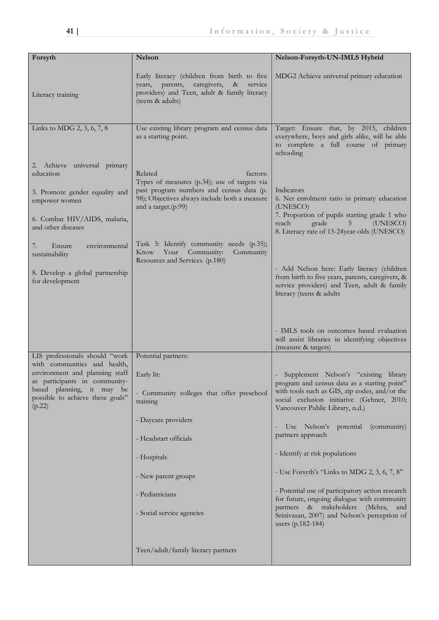| Forsyth                                                                 | <b>Nelson</b>                                                                                                                                                        | Nelson-Forsyth-UN-IMLS Hybrid                                                                                                                                              |  |
|-------------------------------------------------------------------------|----------------------------------------------------------------------------------------------------------------------------------------------------------------------|----------------------------------------------------------------------------------------------------------------------------------------------------------------------------|--|
| Literacy training                                                       | Early literacy (children from birth to five<br>years, parents,<br>caregivers,<br>$\&$<br>service<br>providers) and Teen, adult & family literacy<br>(teens & adults) | MDG2 Achieve universal primary education                                                                                                                                   |  |
| Links to MDG 2, 3, 6, 7, 8                                              | Use existing library program and census data<br>as a starting point.                                                                                                 | Target: Ensure that, by 2015, children<br>everywhere, boys and girls alike, will be able<br>to complete a full course of primary<br>schooling                              |  |
| 2. Achieve universal primary<br>education                               | Related<br>factors:<br>Types of measures (p.34); use of targets via                                                                                                  |                                                                                                                                                                            |  |
| 3. Promote gender equality and<br>empower women                         | past program numbers and census data (p.<br>98); Objectives always include both a measure<br>and a target.(p.99)                                                     | Indicators<br>6. Net enrolment ratio in primary education<br>(UNESCO)                                                                                                      |  |
| 6. Combat HIV/AIDS, malaria,<br>and other diseases                      |                                                                                                                                                                      | 7. Proportion of pupils starting grade 1 who<br>grade<br>reach<br>5<br>(UNESCO)<br>8. Literacy rate of 15-24year-olds (UNESCO)                                             |  |
| Ensure<br>environmental<br>7.<br>sustainability                         | Task 3: Identify community needs (p.35);<br>Your Community:<br>Community<br>Know<br>Resources and Services. (p.180)                                                  |                                                                                                                                                                            |  |
| 8. Develop a global partnership<br>for development                      |                                                                                                                                                                      | - Add Nelson here: Early literacy (children<br>from birth to five years, parents, caregivers, &<br>service providers) and Teen, adult & family<br>literacy (teens & adults |  |
|                                                                         |                                                                                                                                                                      | - IMLS tools on outcomes based evaluation<br>will assist libraries in identifying objectives<br>(measure & targets)                                                        |  |
| LIS professionals should "work<br>with communities and health,          | Potential partners:                                                                                                                                                  |                                                                                                                                                                            |  |
| environment and planning staff<br>as participants in community-         | Early lit:                                                                                                                                                           | Supplement Nelson's "existing library<br>program and census data as a starting point"                                                                                      |  |
| based planning, it may be<br>possible to achieve these goals"<br>(p.22) | - Community colleges that offer preschool<br>training                                                                                                                | with tools such as GIS, zip codes, and/or the<br>social exclusion initiative (Gehner, 2010;<br>Vancouver Public Library, n.d.)                                             |  |
|                                                                         | - Daycare providers                                                                                                                                                  | Use Nelson's<br>potential<br>(community)<br>$\overline{\phantom{a}}$                                                                                                       |  |
|                                                                         | - Headstart officials                                                                                                                                                | partners approach                                                                                                                                                          |  |
|                                                                         | - Hospitals                                                                                                                                                          | - Identify at risk populations                                                                                                                                             |  |
|                                                                         | - New parent groups                                                                                                                                                  | - Use Forsyth's "Links to MDG 2, 3, 6, 7, 8"                                                                                                                               |  |
|                                                                         | - Pediatricians                                                                                                                                                      | - Potential use of participatory action research<br>for future, ongoing dialogue with community                                                                            |  |
|                                                                         | - Social service agencies                                                                                                                                            | partners & stakeholders<br>(Mehra,<br>and<br>Srinivasan, 2007) and Nelson's perception of<br>users (p.182-184)                                                             |  |
|                                                                         | Teen/adult/family literacy partners                                                                                                                                  |                                                                                                                                                                            |  |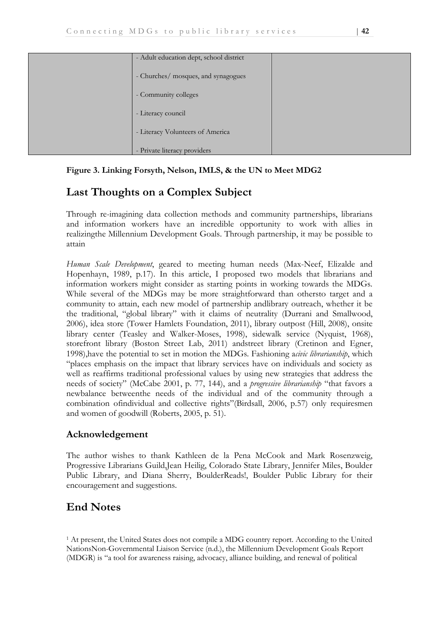| - Adult education dept, school district |  |
|-----------------------------------------|--|
| - Churches/ mosques, and synagogues     |  |
| - Community colleges                    |  |
| - Literacy council                      |  |
| - Literacy Volunteers of America        |  |
| - Private literacy providers            |  |

#### **Figure 3. Linking Forsyth, Nelson, IMLS, & the UN to Meet MDG2**

# **Last Thoughts on a Complex Subject**

Through re-imagining data collection methods and community partnerships, librarians and information workers have an incredible opportunity to work with allies in realizingthe Millennium Development Goals. Through partnership, it may be possible to attain

*Human Scale Development*, geared to meeting human needs (Max-Neef, Elizalde and Hopenhayn, 1989, p.17). In this article, I proposed two models that librarians and information workers might consider as starting points in working towards the MDGs. While several of the MDGs may be more straightforward than othersto target and a community to attain, each new model of partnership andlibrary outreach, whether it be the traditional, "global library" with it claims of neutrality (Durrani and Smallwood, 2006), idea store (Tower Hamlets Foundation, 2011), library outpost (Hill, 2008), onsite library center (Teasley and Walker-Moses, 1998), sidewalk service (Nyquist, 1968), storefront library (Boston Street Lab, 2011) andstreet library (Cretinon and Egner, 1998),have the potential to set in motion the MDGs. Fashioning a*civic librarianship*, which "places emphasis on the impact that library services have on individuals and society as well as reaffirms traditional professional values by using new strategies that address the needs of society" (McCabe 2001, p. 77, 144), and a *progressive librarianship* "that favors a newbalance betweenthe needs of the individual and of the community through a combination ofindividual and collective rights"(Birdsall, 2006, p.57) only requiresmen and women of goodwill (Roberts, 2005, p. 51).

#### **Acknowledgement**

The author wishes to thank Kathleen de la Pena McCook and Mark Rosenzweig, Progressive Librarians Guild,Jean Heilig, Colorado State Library, Jennifer Miles, Boulder Public Library, and Diana Sherry, BoulderReads!, Boulder Public Library for their encouragement and suggestions.

# **End Notes**

<sup>1</sup> At present, the United States does not compile a MDG country report. According to the United NationsNon-Governmental Liaison Service (n.d.), the Millennium Development Goals Report (MDGR) is "a tool for awareness raising, advocacy, alliance building, and renewal of political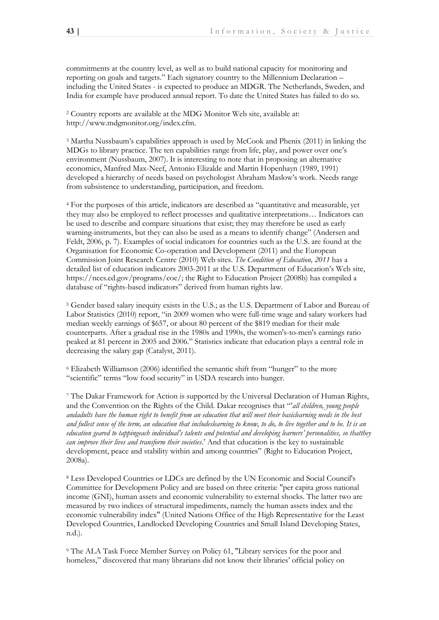commitments at the country level, as well as to build national capacity for monitoring and reporting on goals and targets." Each signatory country to the Millennium Declaration – including the United States - is expected to produce an MDGR. The Netherlands, Sweden, and India for example have produced annual report. To date the United States has failed to do so.

<sup>2</sup> Country reports are available at the MDG Monitor Web site, available at: [http://www.mdgmonitor.org/index.cfm.](http://www.mdgmonitor.org/index.cfm)

<sup>3</sup> Martha Nussbaum's capabilities approach is used by McCook and Phenix (2011) in linking the MDGs to library practice. The ten capabilities range from life, play, and power over one's environment (Nussbaum, 2007). It is interesting to note that in proposing an alternative economics, Manfred Max-Neef, Antonio Elizalde and Martin Hopenhayn (1989, 1991) developed a hierarchy of needs based on psychologist Abraham Maslow's work. Needs range from subsistence to understanding, participation, and freedom.

<sup>4</sup> For the purposes of this article, indicators are described as "quantitative and measurable, yet they may also be employed to reflect processes and qualitative interpretations… Indicators can be used to describe and compare situations that exist; they may therefore be used as early warning-instruments, but they can also be used as a means to identify change" (Andersen and Feldt, 2006, p. 7). Examples of social indicators for countries such as the U.S. are found at the Organisation for Economic Co-operation and Development (2011) and the European Commission Joint Research Centre (2010) Web sites. *The Condition of Education, 2011* has a detailed list of education indicators 2003-2011 at the U.S. Department of Education's Web site, https://nces.ed.gov/programs/coe/; the Right to Education Project (2008b) has compiled a database of "rights-based indicators" derived from human rights law.

<sup>5</sup> Gender based salary inequity exists in the U.S.; as the U.S. Department of Labor and Bureau of Labor Statistics (2010) report, "in 2009 women who were full-time wage and salary workers had median weekly earnings of \$657, or about 80 percent of the \$819 median for their male counterparts. After a gradual rise in the 1980s and 1990s, the women's-to-men's earnings ratio peaked at 81 percent in 2005 and 2006." Statistics indicate that education plays a central role in decreasing the salary gap (Catalyst, 2011).

 $6$  Elizabeth Williamson (2006) identified the semantic shift from "hunger" to the more "scientific" terms "low food security" in USDA research into hunger.

<sup>7</sup> The Dakar Framework for Action is supported by the Universal Declaration of Human Rights, and the Convention on the Rights of the Child. Dakar recognises that "*all children, young people andadults have the human right to benefit from an education that will meet their basiclearning needs in the best and fullest sense of the term, an education that includeslearning to know, to do, to live together and to be. It is an education geared to tappingeach individual's talents and potential and developing learners' personalities, so thatthey can improve their lives and transform their societies*.' And that education is the key to sustainable development, peace and stability within and among countries" (Right to Education Project, 2008a).

<sup>8</sup> Less Developed Countries or LDCs are defined by the UN Economic and Social Council's Committee for Development Policy and are based on three criteria: "per capita gross national income (GNI), human assets and economic vulnerability to external shocks. The latter two are measured by two indices of structural impediments, namely the human assets index and the economic vulnerability index" (United Nations Office of the High Representative for the Least Developed Countries, Landlocked Developing Countries and Small Island Developing States, n.d.).

<sup>9</sup> The ALA Task Force Member Survey on Policy 61, "Library services for the poor and homeless," discovered that many librarians did not know their libraries' official policy on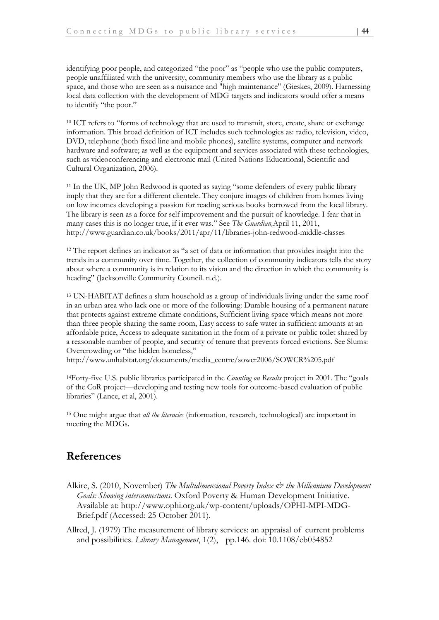identifying poor people, and categorized "the poor" as "people who use the public computers, people unaffiliated with the university, community members who use the library as a public space, and those who are seen as a nuisance and "high maintenance" (Gieskes, 2009). Harnessing local data collection with the development of MDG targets and indicators would offer a means to identify "the poor."

<sup>10</sup> ICT refers to "forms of technology that are used to transmit, store, create, share or exchange information. This broad definition of ICT includes such technologies as: radio, television, video, DVD, telephone (both fixed line and mobile phones), satellite systems, computer and network hardware and software; as well as the equipment and services associated with these technologies, such as videoconferencing and electronic mail (United Nations Educational, Scientific and Cultural Organization, 2006).

<sup>11</sup> In the UK, MP John Redwood is quoted as saying "some defenders of every public library imply that they are for a different clientele. They conjure images of children from homes living on low incomes developing a passion for reading serious books borrowed from the local library. The library is seen as a force for self improvement and the pursuit of knowledge. I fear that in many cases this is no longer true, if it ever was." See *The Guardian*, April 11, 2011, http://www.guardian.co.uk/books/2011/apr/11/libraries-john-redwood-middle-classes

<sup>12</sup> The report defines an indicator as "a set of data or information that provides insight into the trends in a community over time. Together, the collection of community indicators tells the story about where a community is in relation to its vision and the direction in which the community is heading" (Jacksonville Community Council. n.d.).

<sup>13</sup> UN-HABITAT defines a slum household as a group of individuals living under the same roof in an urban area who lack one or more of the following: Durable housing of a permanent nature that protects against extreme climate conditions, Sufficient living space which means not more than three people sharing the same room, Easy access to safe water in sufficient amounts at an affordable price, Access to adequate sanitation in the form of a private or public toilet shared by a reasonable number of people, and security of tenure that prevents forced evictions. See Slums: Overcrowding or "the hidden homeless,"

[http://www.unhabitat.org/documents/media\\_centre/sowcr2006/SOWCR%205.pdf](http://www.unhabitat.org/documents/media_centre/sowcr2006/SOWCR%205.pdf)

<sup>14</sup>Forty-five U.S. public libraries participated in the *Counting on Results* project in 2001. The "goals of the CoR project—developing and testing new tools for outcome-based evaluation of public libraries" (Lance, et al, 2001).

<sup>15</sup> One might argue that *all the literacies* (information, research, technological) are important in meeting the MDGs.

### **References**

Alkire, S. (2010, November) *The Multidimensional Poverty Index & the Millennium Development Goals: Showing interconnections*. Oxford Poverty & Human Development Initiative. Available at: http://www.ophi.org.uk/wp-content/uploads/OPHI-MPI-MDG-Brief.pdf (Accessed: 25 October 2011).

Allred, J. (1979) The measurement of library services: an appraisal of current problems and possibilities. *Library Management*, 1(2), pp.146. doi: 10.1108/eb054852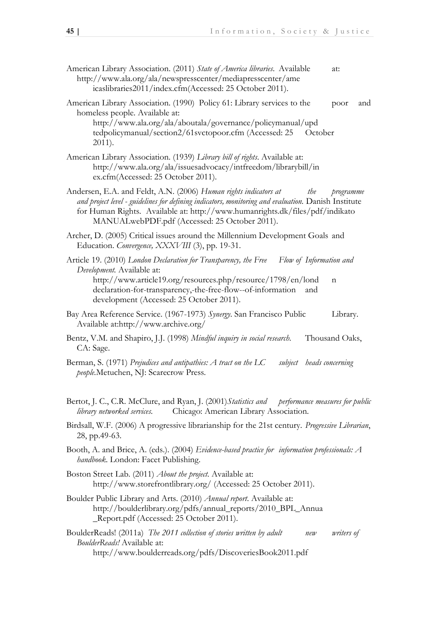- American Library Association. (2011) *State of America libraries*. Available at: http://www.ala.org/ala/newspresscenter/mediapresscenter/ame icaslibraries2011/index.cfm(Accessed: 25 October 2011).
- American Library Association. (1990) Policy 61: Library services to the poor and homeless people. Available at: http://www.ala.org/ala/aboutala/governance/policymanual/upd tedpolicymanual/section2/61svctopoor.cfm (Accessed: 25 October 2011).
- American Library Association. (1939) *Library bill of rights*. Available at: http://www.ala.org/ala/issuesadvocacy/intfreedom/librarybill/in ex.cfm(Accessed: 25 October 2011).
- Andersen, E.A. and Feldt, A.N. (2006) *Human rights indicators at the programme and project level - guidelines for defining indicators, monitoring and evaluation.* Danish Institute for Human Rights. Available at: http://www.humanrights.dk/files/pdf/indikato MANUALwebPDF.pdf (Accessed: 25 October 2011).
- Archer, D. (2005) Critical issues around the Millennium Development Goals and Education. *Convergence, XXXVIII* (3), pp. 19-31.
- Article 19. (2010) *London Declaration for Transparency, the Free Flow of Information and Development.* Available at: http://www.article19.org/resources.php/resource/1798/en/lond n
	- declaration-for-transparency,-the-free-flow--of-information and development (Accessed: 25 October 2011).
- Bay Area Reference Service. (1967-1973) *Synergy*. San Francisco Public Library. Available at:http://www.archive.org/
- Bentz, V.M. and Shapiro, J.J. (1998) *Mindful inquiry in social research.* Thousand Oaks, CA: Sage.
- Berman, S. (1971) *Prejudices and antipathies: A tract on the LC subject heads concerning people.*Metuchen, NJ: Scarecrow Press.
- Bertot, J. C., C.R. McClure, and Ryan, J. (2001)*Statistics and performance measures for public library networked services.* Chicago: American Library Association.
- Birdsall, W.F. (2006) A progressive librarianship for the 21st century. *Progressive Librarian*, 28, pp.49-63.
- Booth, A. and Brice, A. (eds.). (2004) *Evidence-based practice for information professionals: A handbook*. London: Facet Publishing.
- Boston Street Lab. (2011) *About the project*. Available at: http://www.storefrontlibrary.org/ (Accessed: 25 October 2011).
- Boulder Public Library and Arts. (2010) *Annual report*. Available at: http://boulderlibrary.org/pdfs/annual\_reports/2010\_BPL\_Annua \_Report.pdf (Accessed: 25 October 2011).

BoulderReads! (2011a) *The 2011 collection of stories written by adult new writers of BoulderReads!* Available at: http://www.boulderreads.org/pdfs/DiscoveriesBook2011.pdf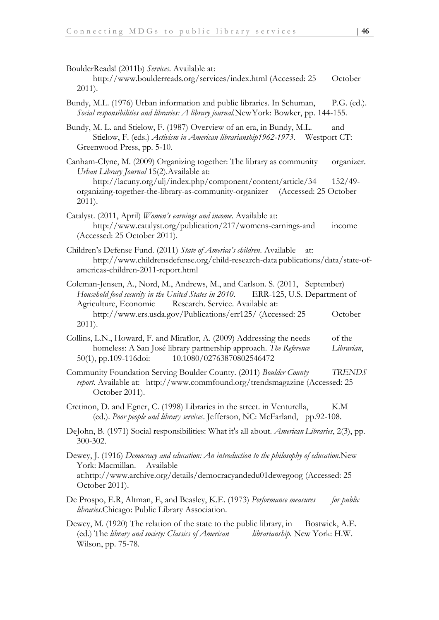| BoulderReads! (2011b) Services. Available at:<br>http://www.boulderreads.org/services/index.html (Accessed: 25<br>$2011$ ).                                                                                                                                                                            | October                  |
|--------------------------------------------------------------------------------------------------------------------------------------------------------------------------------------------------------------------------------------------------------------------------------------------------------|--------------------------|
| Bundy, M.L. (1976) Urban information and public libraries. In Schuman,<br>Social responsibilities and libraries: A library journal.New York: Bowker, pp. 144-155.                                                                                                                                      | $P.G.$ (ed.).            |
| Bundy, M. L. and Stielow, F. (1987) Overview of an era, in Bundy, M.L.<br>Stielow, F. (eds.) Activism in American librarianship1962-1973. Westport CT:<br>Greenwood Press, pp. 5-10.                                                                                                                   | and                      |
| Canham-Clyne, M. (2009) Organizing together: The library as community<br>Urban Library Journal 15(2). Available at:<br>http://lacuny.org/ulj/index.php/component/content/article/34<br>organizing-together-the-library-as-community-organizer (Accessed: 25 October<br>$2011$ ).                       | organizer.<br>$152/49$ - |
| Catalyst. (2011, April) Women's earnings and income. Available at:<br>http://www.catalyst.org/publication/217/womens-earnings-and<br>(Accessed: 25 October 2011).                                                                                                                                      | income                   |
| Children's Defense Fund. (2011) State of America's children. Available<br>at:<br>http://www.childrensdefense.org/child-research-data publications/data/state-of-<br>americas-children-2011-report.html                                                                                                 |                          |
| Coleman-Jensen, A., Nord, M., Andrews, M., and Carlson. S. (2011, September)<br>Household food security in the United States in 2010. ERR-125, U.S. Department of<br>Agriculture, Economic Research. Service. Available at:<br>http://www.ers.usda.gov/Publications/err125/ (Accessed: 25<br>$2011$ ). | October                  |
| Collins, L.N., Howard, F. and Miraflor, A. (2009) Addressing the needs<br>homeless: A San José library partnership approach. The Reference<br>10.1080/02763870802546472<br>$50(1)$ , pp.109-116doi:                                                                                                    | of the<br>Librarian,     |
| Community Foundation Serving Boulder County. (2011) Boulder County<br>report. Available at: http://www.commfound.org/trendsmagazine (Accessed: 25<br>October 2011).                                                                                                                                    | <b>TRENDS</b>            |
| Cretinon, D. and Egner, C. (1998) Libraries in the street. in Venturella,<br>(ed.). Poor people and library services. Jefferson, NC: McFarland, pp.92-108.                                                                                                                                             | K.M                      |
| DeJohn, B. (1971) Social responsibilities: What it's all about. American Libraries, 2(3), pp.<br>300-302.                                                                                                                                                                                              |                          |
| Dewey, J. (1916) Democracy and education: An introduction to the philosophy of education.New<br>York: Macmillan.<br>Available<br>at:http://www.archive.org/details/democracyandedu01dewegoog (Accessed: 25<br>October 2011).                                                                           |                          |
| De Prospo, E.R, Altman, E, and Beasley, K.E. (1973) Performance measures<br>libraries. Chicago: Public Library Association.                                                                                                                                                                            | for public               |
| Dewey, M. (1920) The relation of the state to the public library, in<br>(ed.) The library and society: Classics of American<br>librarianship. New York: H.W.                                                                                                                                           | Bostwick, A.E.           |

Wilson, pp. 75-78.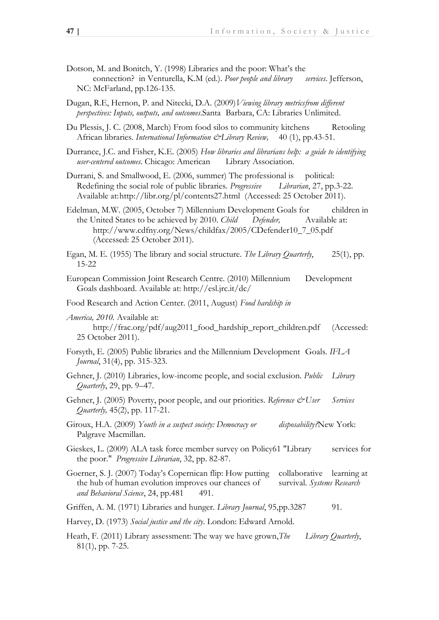- Dotson, M. and Bonitch, Y. (1998) Libraries and the poor: What's the connection? in Venturella, K.M (ed.). *Poor people and library services*. Jefferson, NC: McFarland, pp.126-135.
- Dugan, R.E, Hernon, P. and Nitecki, D.A. (2009)*Viewing library metricsfrom different perspectives: Inputs, outputs, and outcomes*.Santa Barbara, CA: Libraries Unlimited.
- Du Plessis, J. C. (2008, March) From food silos to community kitchens Retooling African libraries. *International Information &Library Review,* 40 (1), pp.43-51.
- Durrance, J.C. and Fisher, K.E. (2005) *How libraries and librarians help: a guide to identifying user-centered outcomes*. Chicago: American Library Association.
- Durrani, S. and Smallwood, E. (2006, summer) The professional is political: Redefining the social role of public libraries. *Progressive Librarian*, 27, pp.3-22. Available at:http://libr.org/pl/contents27.html (Accessed: 25 October 2011).
- Edelman, M.W. (2005, October 7) Millennium Development Goals for children in the United States to be achieved by 2010. *Child Defender,* Available at: http://www.cdfny.org/News/childfax/2005/CDefender10\_7\_05.pdf (Accessed: 25 October 2011).
- Egan, M. E. (1955) The library and social structure. *The Library Quarterly*, 25(1), pp. 15-22
- European Commission Joint Research Centre. (2010) Millennium Development Goals dashboard. Available at: http://esl.jrc.it/dc/
- Food Research and Action Center. (2011, August) *Food hardship in*
- *America, 2010.* Available at: http://frac.org/pdf/aug2011\_food\_hardship\_report\_children.pdf (Accessed: 25 October 2011).
- Forsyth, E. (2005) Public libraries and the Millennium Development Goals*. IFLA Journal*, 31(4), pp. 315-323.
- Gehner, J. (2010) Libraries, low-income people, and social exclusion. *Public Library Quarterly*, 29, pp. 9–47.
- Gehner, J. (2005) Poverty, poor people, and our priorities. *Reference & User Services Quarterly,* 45(2), pp. 117-21.
- Giroux, H.A. (2009) *Youth in a suspect society: Democracy or disposability?*New York: Palgrave Macmillan.
- Gieskes, L. (2009) ALA task force member survey on Policy61 "Library services for the poor." *Progressive Librarian*, 32, pp. 82-87.
- Goerner, S. J. (2007) Today's Copernican flip: How putting collaborative learning at the hub of human evolution improves our chances of survival. *Systems Research*  and Behavioral Science, 24, pp.481 491.
- Griffen, A. M. (1971) Libraries and hunger. *Library Journal*, 95,pp.3287 91.
- Harvey, D. (1973) *Social justice and the city*. London: Edward Arnold.
- Heath, F. (2011) Library assessment: The way we have grown,*The Library Quarterly*, 81(1), pp. 7-25.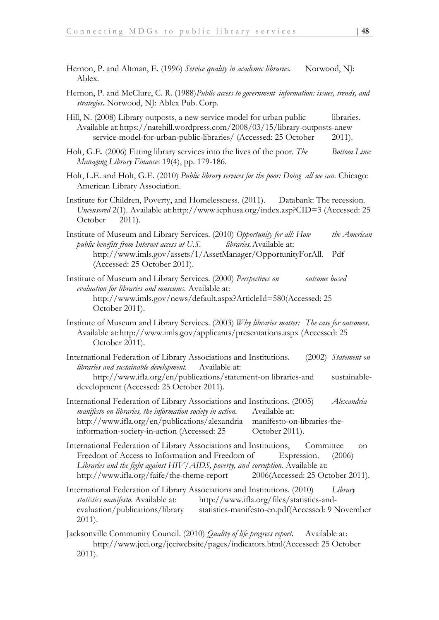- Hernon, P. and Altman, E. (1996) Service quality in academic libraries. Norwood, NJ: Ablex.
- Hernon, P. and McClure, C. R. (1988)*Public access to government information: issues, trends, and strategies***.** Norwood, NJ: Ablex Pub. Corp.
- Hill, N. (2008) Library outposts, a new service model for urban public libraries. Available at:https://natehill.wordpress.com/2008/03/15/library-outposts-anew service-model-for-urban-public-libraries/ (Accessed: 25 October 2011).
- Holt, G.E. (2006) Fitting library services into the lives of the poor. *The Bottom Line: Managing Library Finances* 19(4), pp. 179-186.
- Holt, L.E. and Holt, G.E. (2010) *Public library services for the poor: Doing all we can.* Chicago: American Library Association.
- Institute for Children, Poverty, and Homelessness. (2011). Databank: The recession. *Uncensored* 2(1). Available at:http://www.icphusa.org/index.asp?CID=3 (Accessed: 25 October 2011).
- Institute of Museum and Library Services. (2010) *Opportunity for all: How the American public benefits from Internet access at U.S. libraries.*Available at: http://www.imls.gov/assets/1/AssetManager/OpportunityForAll. Pdf (Accessed: 25 October 2011).
- Institute of Museum and Library Services. (2000) *Perspectives on outcome based evaluation for libraries and museums.* Available at: http://www.imls.gov/news/default.aspx?ArticleId=580(Accessed: 25 October 2011).
- Institute of Museum and Library Services. (2003) *Why libraries matter: The case for outcomes*. Available at:http://www.imls.gov/applicants/presentations.aspx (Accessed: 25 October 2011).
- International Federation of Library Associations and Institutions. (2002) *Statement on libraries and sustainable development.* Available at: http://www.ifla.org/en/publications/statement-on libraries-and sustainabledevelopment (Accessed: 25 October 2011).
- International Federation of Library Associations and Institutions. (2005) *Alexandria manifesto on libraries, the information society in action.* Available at: http://www.ifla.org/en/publications/alexandria manifesto-on-libraries-theinformation-society-in-action (Accessed: 25 October 2011).
- International Federation of Library Associations and Institutions, Committee on Freedom of Access to Information and Freedom of Expression. (2006) *Libraries and the fight against HIV/AIDS, poverty, and corruption.* Available at: http://www.ifla.org/faife/the-theme-report 2006(Accessed: 25 October 2011).
- International Federation of Library Associations and Institutions. (2010) *Library statistics manifesto*. Available at: http://www.ifla.org/files/statistics-andevaluation/publications/library statistics-manifesto-en.pdf(Accessed: 9 November 2011).
- Jacksonville Community Council. (2010) *Quality of life progress report*. Available at: http://www.jcci.org/jcciwebsite/pages/indicators.html(Accessed: 25 October 2011).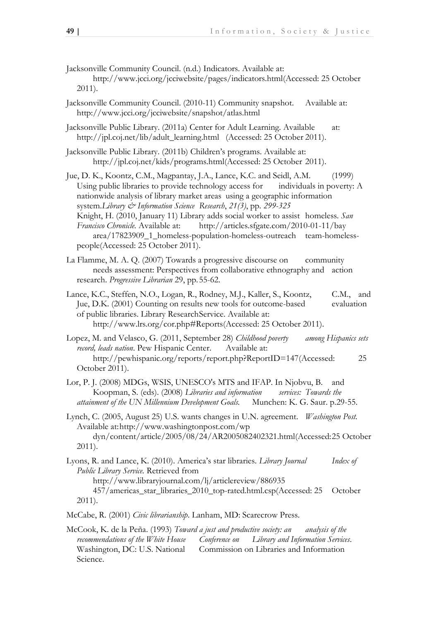- Jacksonville Community Council. (n.d.) Indicators. Available at: http://www.jcci.org/jcciwebsite/pages/indicators.html(Accessed: 25 October 2011).
- Jacksonville Community Council. (2010-11) Community snapshot. Available at: http://www.jcci.org/jcciwebsite/snapshot/atlas.html
- Jacksonville Public Library. (2011a) Center for Adult Learning. Available at: http://jpl.coj.net/lib/adult\_learning.html (Accessed: 25 October 2011).
- Jacksonville Public Library. (2011b) Children's programs. Available at: http://jpl.coj.net/kids/programs.html(Accessed: 25 October 2011).
- Jue, D. K., Koontz, C.M., Magpantay, J.A., Lance, K.C. and Seidl, A.M. (1999) Using public libraries to provide technology access for individuals in poverty: A nationwide analysis of library market areas using a geographic information system.*Library & Information Science Research*, *21(3)*, pp. *299-325* Knight, H. (2010, January 11) Library adds social worker to assist homeless. *San Francisco Chronicle.* Available at: http://articles.sfgate.com/2010-01-11/bay area/17823909\_1\_homeless-population-homeless-outreach team-homelesspeople(Accessed: 25 October 2011).
- La Flamme, M. A. Q. (2007) Towards a progressive discourse on community needs assessment: Perspectives from collaborative ethnography and action research. *Progressive Librarian* 29, pp.55-62.
- Lance, K.C., Steffen, N.O., Logan, R., Rodney, M.J., Kaller, S., Koontz, C.M., and Jue, D.K. (2001) Counting on results new tools for outcome-based evaluation of public libraries. Library ResearchService. Available at: http://www.lrs.org/cor.php#Reports(Accessed: 25 October 2011).

Lopez, M. and Velasco, G. (2011, September 28) *Childhood poverty among Hispanics sets record, leads nation*. Pew Hispanic Center. Available at: http://pewhispanic.org/reports/report.php?ReportID=147(Accessed: 25 October 2011).

- Lor, P. J. (2008) MDGs, WSIS, UNESCO's MTS and IFAP. In Njobvu, B. and Koopman, S. (eds). (2008) *Libraries and information services: Towards the attainment of the UN Millennium Development Goals.* Munchen: K. G. Saur. p.29-55.
- Lynch, C. (2005, August 25) U.S. wants changes in U.N. agreement. *Washington Post.* Available at:http://www.washingtonpost.com/wp dyn/content/article/2005/08/24/AR2005082402321.html(Accessed:25 October 2011).
- Lyons, R. and Lance, K. (2010). America's star libraries. *Library Journal Index of Public Library Service.* Retrieved from http://www.libraryjournal.com/lj/articlereview/886935 457/americas\_star\_libraries\_2010\_top-rated.html.csp(Accessed: 25 October 2011).
- McCabe, R. (2001) *Civic librarianship*. Lanham, MD: Scarecrow Press.
- McCook, K. de la Peña. (1993) *Toward a just and productive society: an analysis of the recommendations of the White House Conference on Library and Information Services*. Washington, DC: U.S. National Commission on Libraries and Information Science.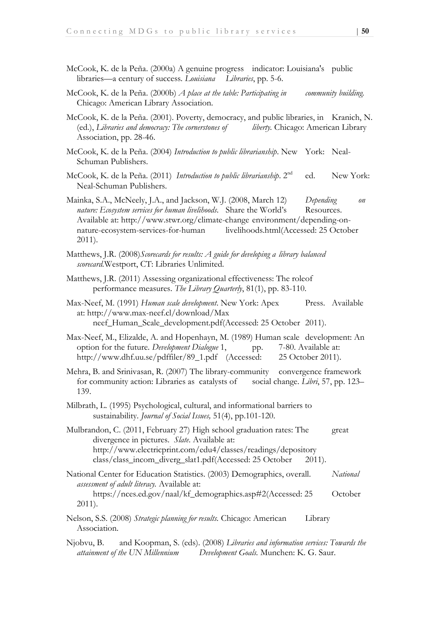- McCook, K. de la Peña. (2000a) A genuine progress indicator: Louisiana's public libraries—a century of success. *Louisiana Libraries*, pp. 5-6.
- McCook, K. de la Peña. (2000b) *A place at the table: Participating in community building.*  Chicago: American Library Association.
- McCook, K. de la Peña. (2001). Poverty, democracy, and public libraries, in Kranich, N. (ed.), *Libraries and democracy: The cornerstones of liberty.* Chicago: American Library Association, pp. 28-46.
- McCook, K. de la Peña. (2004) *Introduction to public librarianship*. New York: Neal-Schuman Publishers.
- McCook, K. de la Peña. (2011) *Introduction to public librarianship*. 2<sup>nd</sup> ed. New York: Neal-Schuman Publishers.
- Mainka, S.A., McNeely, J.A., and Jackson, W.J. (2008, March 12) *Depending on nature: Ecosystem services for human livelihoods.* Share the World's Resources. Available at: http://www.stwr.org/climate-change environment/depending-onnature-ecosystem-services-for-human livelihoods.html(Accessed: 25 October 2011).
- Matthews, J.R. (2008)*Scorecards for results: A guide for developing a library balanced scorecard.*Westport, CT: Libraries Unlimited.
- Matthews, J.R. (2011) Assessing organizational effectiveness: The roleof performance measures. *The Library Quarterly*, 81(1), pp. 83-110.
- Max-Neef, M. (1991) *Human scale development*. New York: Apex Press. Available at: http://www.max-neef.cl/download/Max neef\_Human\_Scale\_development.pdf(Accessed: 25 October 2011).
- Max-Neef, M., Elizalde, A. and Hopenhayn, M. (1989) Human scale development: An option for the future. *Development Dialogue* 1, pp. 7-80. Available at: http://www.dhf.uu.se/pdffiler/89\_1.pdf (Accessed: 25 October 2011).
- Mehra, B. and Srinivasan, R. (2007) The library-community convergence framework for community action: Libraries as catalysts of social change. *Libri*, 57, pp. 123– 139.
- Milbrath, L. (1995) Psychological, cultural, and informational barriers to sustainability. *Journal of Social Issues,* 51(4), pp.101-120.
- Mulbrandon, C. (2011, February 27) High school graduation rates: The great divergence in pictures. *Slate*. Available at: http://www.electricprint.com/edu4/classes/readings/depository class/class\_incom\_diverg\_slat1.pdf(Accessed: 25 October 2011).
- National Center for Education Statistics. (2003) Demographics, overall. *National assessment of adult literacy.* Available at: https://nces.ed.gov/naal/kf\_demographics.asp#2(Accessed: 25 October 2011).
- Nelson, S.S. (2008) *Strategic planning for results.* Chicago: American Library Association.
- Njobvu, B. and Koopman, S. (eds). (2008) *Libraries and information services: Towards the attainment of the UN Millennium Development Goals.* Munchen: K. G. Saur.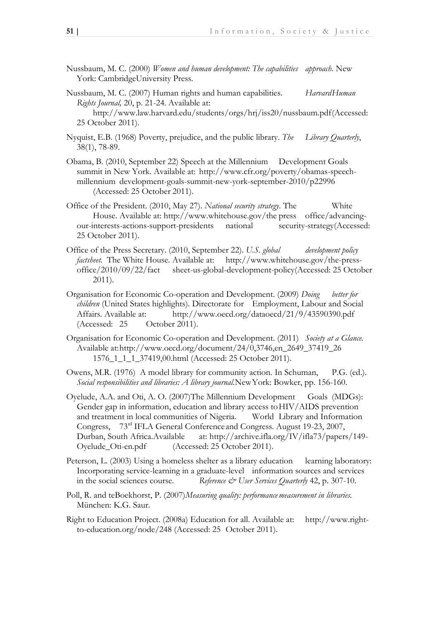- Nussbaum, M. C. (2000) *Women and human development: The capabilities approach*. New York: CambridgeUniversity Press.
- Nussbaum, M. C. (2007) Human rights and human capabilities. *HarvardHuman Rights Journal,* 20, p. 21-24. Available at:

http://www.law.harvard.edu/students/orgs/hrj/iss20/nussbaum.pdf(Accessed: 25 October 2011).

- Nyquist, E.B. (1968) Poverty, prejudice, and the public library. *The Library Quarterly*, 38(1), 78-89.
- Obama, B. (2010, September 22) Speech at the Millennium Development Goals summit in New York. Available at: http://www.cfr.org/poverty/obamas-speechmillennium development-goals-summit-new-york-september-2010/p22996 (Accessed: 25 October 2011).
- Office of the President. (2010, May 27). *National security strategy*. The White House. Available at: http://www.whitehouse.gov/the press office/advancingour-interests-actions-support-presidents national security-strategy(Accessed: 25 October 2011).
- Office of the Press Secretary. (2010, September 22). *U.S. global development policy factsheet.* The White House. Available at: http://www.whitehouse.gov/the-pressoffice/2010/09/22/fact sheet-us-global-development-policy(Accessed: 25 October 2011).
- Organisation for Economic Co-operation and Development. (2009) *Doing better for children* (United States highlights)*.* Directorate for Employment, Labour and Social Affairs. Available at: http://www.oecd.org/dataoecd/21/9/43590390.pdf (Accessed: 25 October 2011).
- Organisation for Economic Co-operation and Development. (2011) *Society at a Glance.*  Available at:http://www.oecd.org/document/24/0,3746,en\_2649\_37419\_26 1576\_1\_1\_1\_37419,00.html (Accessed: 25 October 2011).
- Owens, M.R. (1976) A model library for community action. In Schuman, P.G. (ed.). *Social responsibilities and libraries: A library journal.*NewYork: Bowker, pp. 156-160.
- Oyelude, A.A. and Oti, A.O. (2007)The Millennium Development Goals (MDGs): Gender gap in information, education and library access toHIV/AIDS prevention and treatment in local communities of Nigeria. World Library and Information Congress, 73rd IFLA General Conferenceand Congress. August 19-23, 2007, Durban, South Africa.Available at: http://archive.ifla.org/IV/ifla73/papers/149- Oyelude\_Oti-en.pdf (Accessed: 25 October 2011).
- Peterson, L. (2003) Using a homeless shelter as a library education learning laboratory: Incorporating service-learning in a graduate-level information sources and services in the social sciences course. *Reference & User Services Quarterly* 42, p. 307-10.
- Poll, R. and teBoekhorst, P. (2007)*Measuring quality: performance measurement in libraries.* München: K.G. Saur.
- Right to Education Project. (2008a) Education for all. Available at: http://www.rightto-education.org/node/248 (Accessed: 25 October 2011).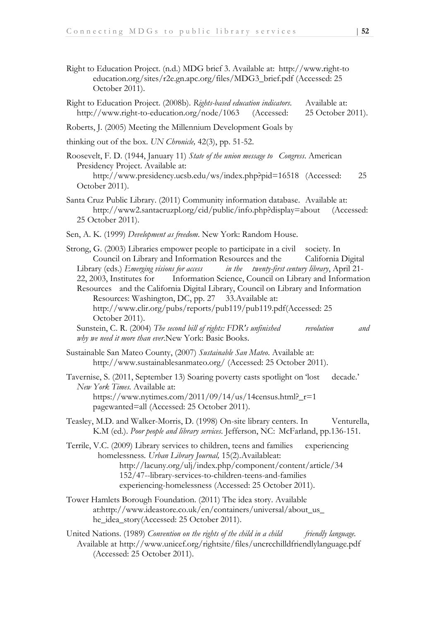- Right to Education Project. (n.d.) MDG brief 3. Available at: http://www.right-to education.org/sites/r2e.gn.apc.org/files/MDG3\_brief.pdf (Accessed: 25 October 2011).
- Right to Education Project. (2008b). *Rights-based education indicators*. Available at: http://www.right-to-education.org/node/1063 (Accessed: 25 October 2011).
- Roberts, J. (2005) Meeting the Millennium Development Goals by

thinking out of the box. *UN Chronicle,* 42(3), pp. 51-52.

Roosevelt, F. D. (1944, January 11) *State of the union message to Congress*. American Presidency Project. Available at:

- Santa Cruz Public Library. (2011) Community information database. Available at: http://www2.santacruzpl.org/cid/public/info.php?display=about (Accessed: 25 October 2011).
- Sen, A. K. (1999) *Development as freedom*. New York: Random House.
- Strong, G. (2003) Libraries empower people to participate in a civil society*.* In Council on Library and Information Resources and the California Digital Library (eds.) *Emerging visions for access in the twenty-first century library*, April 21- 22, 2003, Institutes for Information Science, Council on Library and Information Resources and the California Digital Library, Council on Library and Information Resources: Washington, DC, pp. 27 33. Available at: http://www.clir.org/pubs/reports/pub119/pub119.pdf(Accessed: 25 October 2011). Sunstein, C. R. (2004) *The second bill of rights: FDR's unfinished revolution and why we need it more than ever*.New York: Basic Books. Sustainable San Mateo County, (2007) *Sustainable San Mateo*. Available at: http://www.sustainablesanmateo.org/ (Accessed: 25 October 2011). Tavernise, S. (2011, September 13) Soaring poverty casts spotlight on 'lost decade.' *New York Times.* Available at: https://www.nytimes.com/2011/09/14/us/14census.html?\_r=1 pagewanted=all (Accessed: 25 October 2011). Teasley, M.D. and Walker-Morris, D. (1998) On-site library centers. In Venturella, K.M (ed.). *Poor people and library services*. Jefferson, NC: McFarland, pp.136-151. Terrile, V.C. (2009) Library services to children, teens and families experiencing homelessness*. Urban Library Journal,* 15(2).Availableat:
	- http://lacuny.org/ulj/index.php/component/content/article/34 152/47--library-services-to-children-teens-and-families experiencing-homelessness (Accessed: 25 October 2011).
- Tower Hamlets Borough Foundation. (2011) The idea story. Available at:http://www.ideastore.co.uk/en/containers/universal/about\_us\_ he\_idea\_story(Accessed: 25 October 2011).
- United Nations. (1989) *Convention on the rights of the child in a child friendly language.* Available at http://www.unicef.org/rightsite/files/uncrcchilldfriendlylanguage.pdf (Accessed: 25 October 2011).

http://www.presidency.ucsb.edu/ws/index.php?pid=16518 (Accessed: 25 October 2011).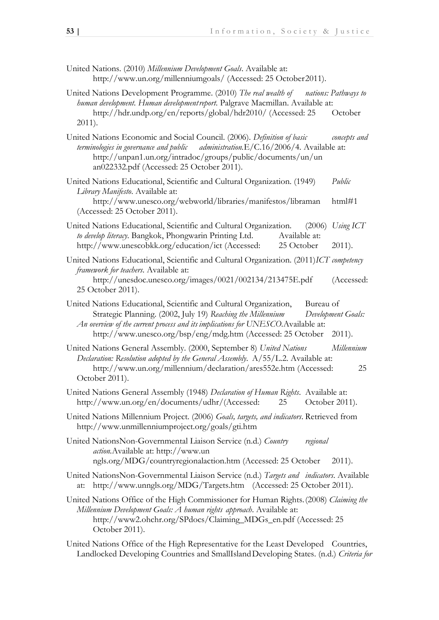- United Nations. (2010) *Millennium Development Goals*. Available at: http://www.un.org/millenniumgoals/ (Accessed: 25 October2011).
- United Nations Development Programme. (2010) *The real wealth of nations: Pathways to human development. Human developmentreport.* Palgrave Macmillan. Available at: http://hdr.undp.org/en/reports/global/hdr2010/ (Accessed: 25 October 2011).
- United Nations Economic and Social Council. (2006). *Definition of basic concepts and terminologies in governance and public administration.*E/C.16/2006/4*.* Available at: http://unpan1.un.org/intradoc/groups/public/documents/un/un an022332.pdf (Accessed: 25 October 2011).
- United Nations Educational, Scientific and Cultural Organization. (1949) *Public Library Manifesto*. Available at:
	- http://www.unesco.org/webworld/libraries/manifestos/libraman html#1 (Accessed: 25 October 2011).
- United Nations Educational, Scientific and Cultural Organization. (2006) *Using ICT to develop literacy*. Bangkok, Phongwarin Printing Ltd. Available at: http://www.unescobkk.org/education/ict (Accessed: 25 October 2011).
- United Nations Educational, Scientific and Cultural Organization. (2011)*ICT competency framework for teachers*. Available at: http://unesdoc.unesco.org/images/0021/002134/213475E.pdf (Accessed: 25 October 2011).
- United Nations Educational, Scientific and Cultural Organization, Bureau of Strategic Planning. (2002, July 19) *Reaching the Millennium Development Goals: An overview of the current process and its implications for UNESCO.*Available at: http://www.unesco.org/bsp/eng/mdg.htm (Accessed: 25 October 2011).
- United Nations General Assembly. (2000, September 8) *United Nations Millennium Declaration: Resolution adopted by the General Assembly.* A/55/L.2. Available at: http://www.un.org/millennium/declaration/ares552e.htm (Accessed: 25 October 2011).
- United Nations General Assembly (1948) *Declaration of Human Rights*. Available at: http://www.un.org/en/documents/udhr/(Accessed: 25 October 2011).
- United Nations Millennium Project. (2006) *Goals, targets, and indicators*. Retrieved from http://www.unmillenniumproject.org/goals/gti.htm
- United NationsNon-Governmental Liaison Service (n.d.) *Country regional action.*Available at: http://www.un ngls.org/MDG/countryregionalaction.htm (Accessed: 25 October 2011).
- United NationsNon-Governmental Liaison Service (n.d.) *Targets and indicators*. Available at: http://www.unngls.org/MDG/Targets.htm (Accessed: 25 October 2011).
- United Nations Office of the High Commissioner for Human Rights.(2008) *Claiming the Millennium Development Goals: A human rights approach*. Available at: http://www2.ohchr.org/SPdocs/Claiming\_MDGs\_en.pdf (Accessed: 25 October 2011).
- United Nations Office of the High Representative for the Least Developed Countries, Landlocked Developing Countries and SmallIslandDeveloping States. (n.d.) *Criteria for*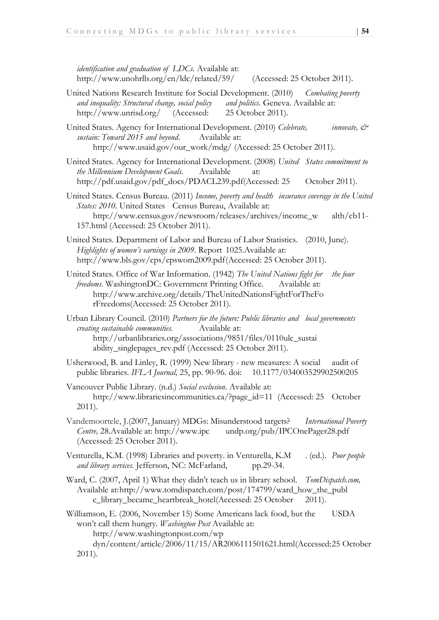*identification and graduation of LDCs.* Available at: http://www.unohrlls.org/en/ldc/related/59/ (Accessed: 25 October 2011).

United Nations Research Institute for Social Development. (2010) *Combating poverty and inequality: Structural change, social policy and politics*. Geneva. Available at: http://www.unrisd.org/ (Accessed: 25 October 2011).

United States. Agency for International Development. (2010) *Celebrate, innovate, & sustain: Toward 2015 and beyond*. Available at: http://www.usaid.gov/our\_work/mdg/ (Accessed: 25 October 2011).

- United States. Agency for International Development. (2008) *United States commitment to the Millennium Development Goals.* Available at: http://pdf.usaid.gov/pdf\_docs/PDACL239.pdf(Accessed: 25 October 2011).
- United States. Census Bureau. (2011) *Income, poverty and health insurance coverage in the United States: 2010.* United States Census Bureau, Available at: http://www.census.gov/newsroom/releases/archives/income\_w alth/cb11- 157.html (Accessed: 25 October 2011).
- United States. Department of Labor and Bureau of Labor Statistics. (2010, June). *Highlights of women's earnings in 2009*. Report 1025.Available at: http://www.bls.gov/cps/cpswom2009.pdf(Accessed: 25 October 2011).
- United States. Office of War Information. (1942) *The United Nations fight for the four freedoms.* WashingtonDC: Government Printing Office. Available at: http://www.archive.org/details/TheUnitedNationsFightForTheFo rFreedoms(Accessed: 25 October 2011).
- Urban Library Council. (2010) *Partners for the future: Public libraries and local governments creating sustainable communities.* Available at: http://urbanlibraries.org/associations/9851/files/0110ulc\_sustai ability\_singlepages\_rev.pdf (Accessed: 25 October 2011).
- Usherwood, B. and Linley, R. (1999) New library new measures: A social audit of public libraries. *IFLA Journal,* 25, pp. 90-96. doi: 10.1177/034003529902500205
- Vancouver Public Library. (n.d.) *Social exclusion*. Available at: http://www.librariesincommunities.ca/?page\_id=11 (Accessed: 25 October 2011).
- Vandemoortele, J.(2007, January) MDGs: Misunderstood targets? *International Poverty Centre,* 28.Available at: http://www.ipc undp.org/pub/IPCOnePager28.pdf (Accessed: 25 October 2011).
- Venturella, K.M. (1998) Libraries and poverty. in Venturella, K.M . (ed.). *Poor people*  and library services. Jefferson, NC: McFarland, pp.29-34.
- Ward, C. (2007, April 1) What they didn't teach us in library school. *TomDispatch.com,*  Available at:http://www.tomdispatch.com/post/174799/ward\_how\_the\_publ c\_library\_became\_heartbreak\_hotel(Accessed: 25 October 2011).

Williamson, E. (2006, November 15) Some Americans lack food, but the USDA won't call them hungry. *Washington Post* Available at:

http://www.washingtonpost.com/wp

dyn/content/article/2006/11/15/AR2006111501621.html(Accessed:25 October 2011).